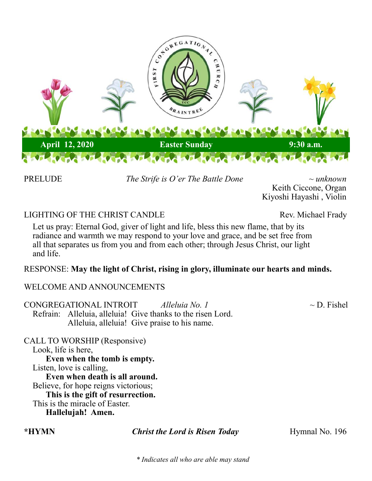

PRELUDE *The Strife is O'er The Battle Done ~ unknown* 

Keith Ciccone, Organ Kiyoshi Hayashi , Violin

# LIGHTING OF THE CHRIST CANDLE Rev. Michael Frady

Let us pray: Eternal God, giver of light and life, bless this new flame, that by its radiance and warmth we may respond to your love and grace, and be set free from all that separates us from you and from each other; through Jesus Christ, our light and life.

## RESPONSE: **May the light of Christ, rising in glory, illuminate our hearts and minds.**

## WELCOME AND ANNOUNCEMENTS

CONGREGATIONAL INTROIT *Alleluia No. 1* ~ D. Fishel Refrain: Alleluia, alleluia! Give thanks to the risen Lord. Alleluia, alleluia! Give praise to his name.

CALL TO WORSHIP (Responsive) Look, life is here, **Even when the tomb is empty.** Listen, love is calling, **Even when death is all around.** Believe, for hope reigns victorious; **This is the gift of resurrection.** This is the miracle of Easter. **Hallelujah! Amen.**

**\*HYMN** *Christ the Lord is Risen Today* **Hymnal No. 196** 

*\* Indicates all who are able may stand*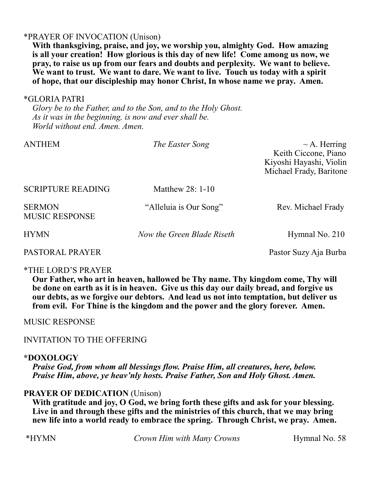### \*PRAYER OF INVOCATION (Unison)

**With thanksgiving, praise, and joy, we worship you, almighty God. How amazing is all your creation! How glorious is this day of new life! Come among us now, we pray, to raise us up from our fears and doubts and perplexity. We want to believe. We want to trust. We want to dare. We want to live. Touch us today with a spirit of hope, that our discipleship may honor Christ, In whose name we pray. Amen.**

#### \*GLORIA PATRI

*Glory be to the Father, and to the Son, and to the Holy Ghost. As it was in the beginning, is now and ever shall be. World without end. Amen. Amen.*

| <b>ANTHEM</b>                          | The Easter Song            | $\sim$ A. Herring<br>Keith Ciccone, Piano<br>Kiyoshi Hayashi, Violin<br>Michael Frady, Baritone |
|----------------------------------------|----------------------------|-------------------------------------------------------------------------------------------------|
| <b>SCRIPTURE READING</b>               | Matthew $28:1-10$          |                                                                                                 |
| <b>SERMON</b><br><b>MUSIC RESPONSE</b> | "Alleluia is Our Song"     | Rev. Michael Frady                                                                              |
| <b>HYMN</b>                            | Now the Green Blade Riseth | Hymnal No. 210                                                                                  |
| PASTORAL PRAYER                        |                            | Pastor Suzy Aja Burba                                                                           |

### \*THE LORD'S PRAYER

**Our Father, who art in heaven, hallowed be Thy name. Thy kingdom come, Thy will be done on earth as it is in heaven. Give us this day our daily bread, and forgive us our debts, as we forgive our debtors. And lead us not into temptation, but deliver us from evil. For Thine is the kingdom and the power and the glory forever. Amen.**

MUSIC RESPONSE

INVITATION TO THE OFFERING

# **\*DOXOLOGY**

*Praise God, from whom all blessings flow. Praise Him, all creatures, here, below. Praise Him, above, ye heav'nly hosts. Praise Father, Son and Holy Ghost. Amen.*

# **PRAYER OF DEDICATION** (Unison)

**With gratitude and joy, O God, we bring forth these gifts and ask for your blessing. Live in and through these gifts and the ministries of this church, that we may bring new life into a world ready to embrace the spring. Through Christ, we pray. Amen.**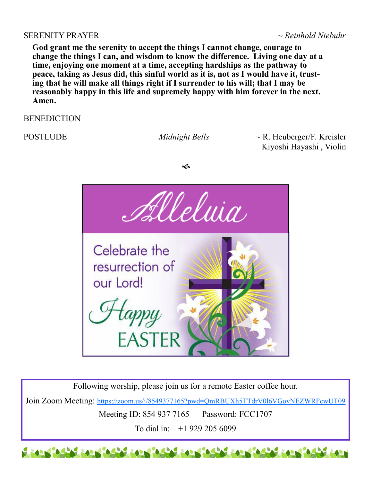#### SERENITY PRAYER *~ Reinhold Niebuhr*

**God grant me the serenity to accept the things I cannot change, courage to change the things I can, and wisdom to know the difference. Living one day at a time, enjoying one moment at a time, accepting hardships as the pathway to peace, taking as Jesus did, this sinful world as it is, not as I would have it, trusting that he will make all things right if I surrender to his will; that I may be reasonably happy in this life and supremely happy with him forever in the next. Amen.**

**BENEDICTION** 

POSTLUDE *Midnight Bells* ~ R. Heuberger/F. Kreisler Kiyoshi Hayashi , Violin





Following worship, please join us for a remote Easter coffee hour.

Join Zoom Meeting: <https://zoom.us/j/8549377165?pwd=QmRBUXh5TTdrV0l6VGovNEZWRFcwUT09>

Meeting ID: 854 937 7165 Password: FCC1707

To dial in: +1 929 205 6099